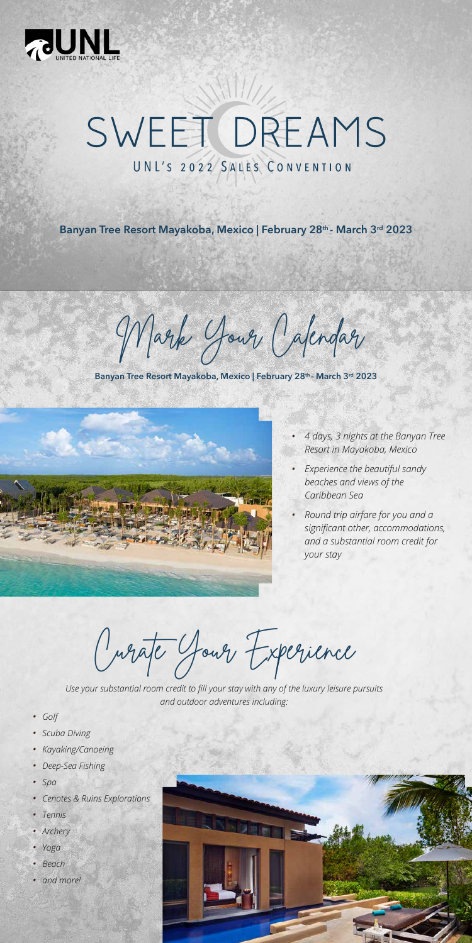

## SWEET DREAMS UNL'S 2022 SALES CONVENTION

**Banyan Tree Resort Mayakoba, Mexico | February 28th - March 3rd 2023** 

**Banyan Tree Resort Mayakoba, Mexico | February 28th - March 3rd 2023**



Mark Your Calendar

- *• 4 days, 3 nights at the Banyan Tree Resort in Mayakoba, Mexico*
- *• Experience the beautiful sandy beaches and views of the Caribbean Sea*
- *• Round trip airfare for you and a significant other, accommodations, and a substantial room credit for your stay*

- *• Golf*
- *• Scuba Diving*
- *• Kayaking/Canoeing*
- *• Deep-Sea Fishing*
- *• Spa*
- *• Cenotes & Ruins Explorations*
- *• Tennis*
- *• Archery*
- *• Yoga*
- *• Beach*
- *• and more!*



Curate Your Experience

*Use your substantial room credit to fill your stay with any of the luxury leisure pursuits and outdoor adventures including:*